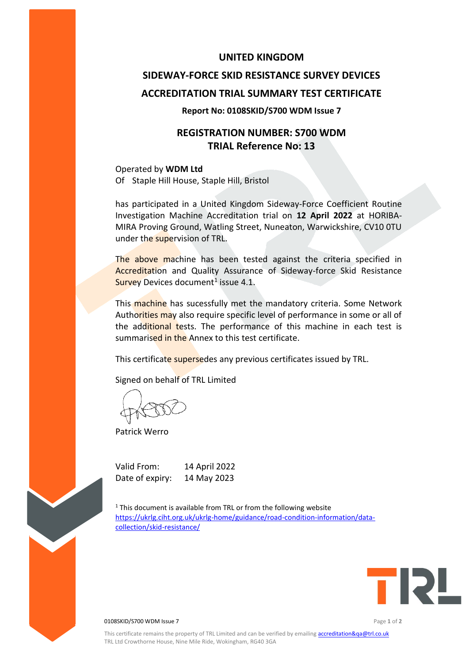### **UNITED KINGDOM**

# **SIDEWAY-FORCE SKID RESISTANCE SURVEY DEVICES ACCREDITATION TRIAL SUMMARY TEST CERTIFICATE**

#### **Report No: 0108SKID/S700 WDM Issue 7**

## **REGISTRATION NUMBER: S700 WDM TRIAL Reference No: 13**

Operated by **WDM Ltd** Of Staple Hill House, Staple Hill, Bristol

has participated in a United Kingdom Sideway-Force Coefficient Routine Investigation Machine Accreditation trial on **12 April 2022** at HORIBA-MIRA Proving Ground, Watling Street, Nuneaton, Warwickshire, CV10 0TU under the supervision of TRL.

The above machine has been tested against the criteria specified in Accreditation and Quality Assurance of Sideway-force Skid Resistance Survey Devices document<sup>1</sup> issue 4.1.

This machine has sucessfully met the mandatory criteria. Some Network Authorities may also require specific level of performance in some or all of the additional tests. The performance of this machine in each test is summarised in the Annex to this test certificate.

This certificate supersedes any previous certificates issued by TRL.

Signed on behalf of TRL Limited

Patrick Werro

Valid From: 14 April 2022 Date of expiry: 14 May 2023

 $1$ <sup>1</sup> This document is available from TRL or from the following website [https://ukrlg.ciht.org.uk/ukrlg-home/guidance/road-condition-information/data](https://ukrlg.ciht.org.uk/ukrlg-home/guidance/road-condition-information/data-collection/skid-resistance/)[collection/skid-resistance/](https://ukrlg.ciht.org.uk/ukrlg-home/guidance/road-condition-information/data-collection/skid-resistance/)



0108SKID/S700 WDM Issue 7 Page **1** of **2**